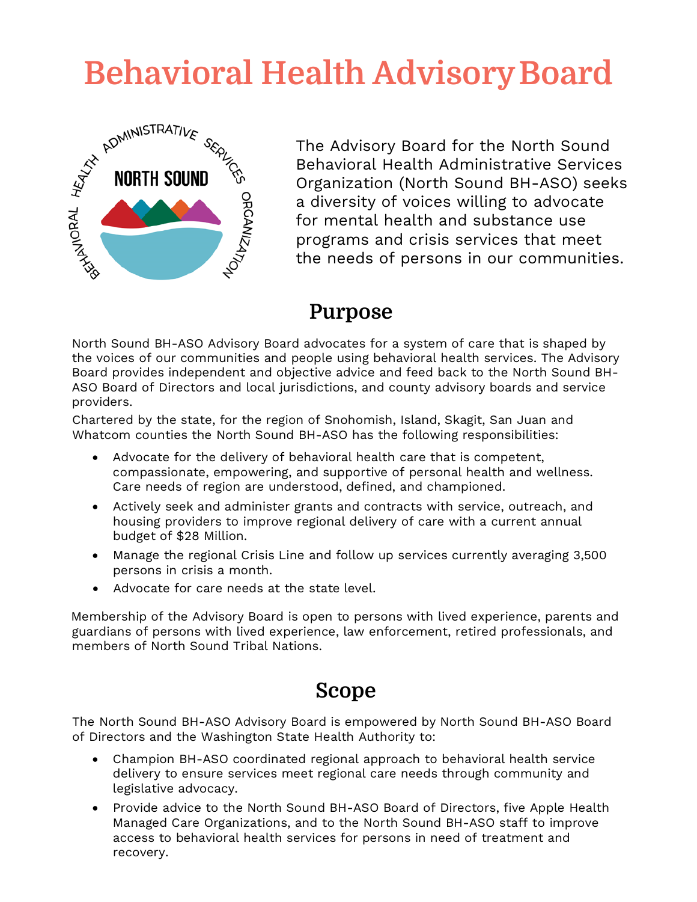

**Behavioral Health Advisory Board**<br>
MORTH SOUND<br> **BEHAVIORE SEARCH AND READ AND READ SERVING THE ADVISOR OF THE ADVISOR OF THE ADVISOR OF THE ADVISOR OF THE ADVISOR OF THE ADVISOR OF THE ADVISOR OF THE ADVISOR OF THE ADVIS** The Advisory Board for the North Sound Behavioral Health Administrative Services Organization (North Sound BH-ASO) seeks a diversity of voices willing to advocate for mental health and substance use programs and crisis services that meet the needs of persons in our communities.

#### **Purpose**

North Sound BH-ASO Advisory Board advocates for a system of care that is shaped by the voices of our communities and people using behavioral health services. The Advisory Board provides independent and objective advice and feed back to the North Sound BH-ASO Board of Directors and local jurisdictions, and county advisory boards and service providers.

Chartered by the state, for the region of Snohomish, Island, Skagit, San Juan and Whatcom counties the North Sound BH-ASO has the following responsibilities:

- Advocate for the delivery of behavioral health care that is competent, compassionate, empowering, and supportive of personal health and wellness. Care needs of region are understood, defined, and championed.
- Actively seek and administer grants and contracts with service, outreach, and housing providers to improve regional delivery of care with a current annual budget of \$28 Million.
- Manage the regional Crisis Line and follow up services currently averaging 3,500 persons in crisis a month.
- Advocate for care needs at the state level.

Membership of the Advisory Board is open to persons with lived experience, parents and guardians of persons with lived experience, law enforcement, retired professionals, and members of North Sound Tribal Nations.

### **Scope**

The North Sound BH-ASO Advisory Board is empowered by North Sound BH-ASO Board of Directors and the Washington State Health Authority to:

- Champion BH-ASO coordinated regional approach to behavioral health service delivery to ensure services meet regional care needs through community and legislative advocacy.
- Provide advice to the North Sound BH-ASO Board of Directors, five Apple Health Managed Care Organizations, and to the North Sound BH-ASO staff to improve access to behavioral health services for persons in need of treatment and recovery.